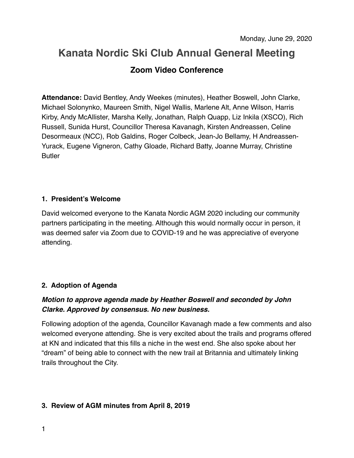# **Kanata Nordic Ski Club Annual General Meeting Zoom Video Conference**

**Attendance:** David Bentley, Andy Weekes (minutes), Heather Boswell, John Clarke, Michael Solonynko, Maureen Smith, Nigel Wallis, Marlene Alt, Anne Wilson, Harris Kirby, Andy McAllister, Marsha Kelly, Jonathan, Ralph Quapp, Liz Inkila (XSCO), Rich Russell, Sunida Hurst, Councillor Theresa Kavanagh, Kirsten Andreassen, Celine Desormeaux (NCC), Rob Galdins, Roger Colbeck, Jean-Jo Bellamy, H Andreassen-Yurack, Eugene Vigneron, Cathy Gloade, Richard Batty, Joanne Murray, Christine Butler

# **1. President's Welcome**

David welcomed everyone to the Kanata Nordic AGM 2020 including our community partners participating in the meeting. Although this would normally occur in person, it was deemed safer via Zoom due to COVID-19 and he was appreciative of everyone attending.

# **2. Adoption of Agenda**

# *Motion to approve agenda made by Heather Boswell and seconded by John Clarke. Approved by consensus. No new business.*

Following adoption of the agenda, Councillor Kavanagh made a few comments and also welcomed everyone attending. She is very excited about the trails and programs offered at KN and indicated that this fills a niche in the west end. She also spoke about her "dream" of being able to connect with the new trail at Britannia and ultimately linking trails throughout the City.

# **3. Review of AGM minutes from April 8, 2019**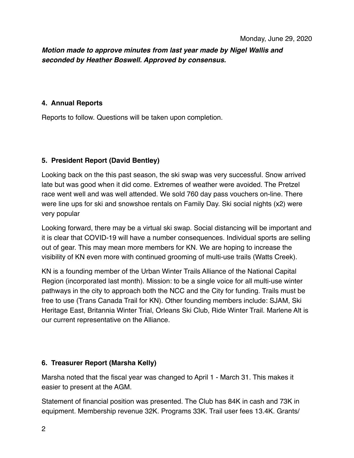# *Motion made to approve minutes from last year made by Nigel Wallis and seconded by Heather Boswell. Approved by consensus.*

#### **4. Annual Reports**

Reports to follow. Questions will be taken upon completion.

## **5. President Report (David Bentley)**

Looking back on the this past season, the ski swap was very successful. Snow arrived late but was good when it did come. Extremes of weather were avoided. The Pretzel race went well and was well attended. We sold 760 day pass vouchers on-line. There were line ups for ski and snowshoe rentals on Family Day. Ski social nights (x2) were very popular

Looking forward, there may be a virtual ski swap. Social distancing will be important and it is clear that COVID-19 will have a number consequences. Individual sports are selling out of gear. This may mean more members for KN. We are hoping to increase the visibility of KN even more with continued grooming of multi-use trails (Watts Creek).

KN is a founding member of the Urban Winter Trails Alliance of the National Capital Region (incorporated last month). Mission: to be a single voice for all multi-use winter pathways in the city to approach both the NCC and the City for funding. Trails must be free to use (Trans Canada Trail for KN). Other founding members include: SJAM, Ski Heritage East, Britannia Winter Trial, Orleans Ski Club, Ride Winter Trail. Marlene Alt is our current representative on the Alliance.

## **6. Treasurer Report (Marsha Kelly)**

Marsha noted that the fiscal year was changed to April 1 - March 31. This makes it easier to present at the AGM.

Statement of financial position was presented. The Club has 84K in cash and 73K in equipment. Membership revenue 32K. Programs 33K. Trail user fees 13.4K. Grants/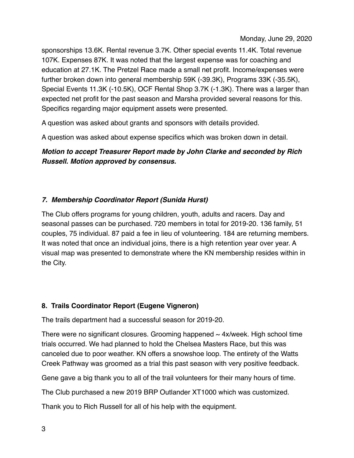sponsorships 13.6K. Rental revenue 3.7K. Other special events 11.4K. Total revenue 107K. Expenses 87K. It was noted that the largest expense was for coaching and education at 27.1K. The Pretzel Race made a small net profit. Income/expenses were further broken down into general membership 59K (-39.3K), Programs 33K (-35.5K), Special Events 11.3K (-10.5K), OCF Rental Shop 3.7K (-1.3K). There was a larger than expected net profit for the past season and Marsha provided several reasons for this. Specifics regarding major equipment assets were presented.

A question was asked about grants and sponsors with details provided.

A question was asked about expense specifics which was broken down in detail.

*Motion to accept Treasurer Report made by John Clarke and seconded by Rich Russell. Motion approved by consensus.*

# *7. Membership Coordinator Report (Sunida Hurst)*

The Club offers programs for young children, youth, adults and racers. Day and seasonal passes can be purchased. 720 members in total for 2019-20. 136 family, 51 couples, 75 individual. 87 paid a fee in lieu of volunteering. 184 are returning members. It was noted that once an individual joins, there is a high retention year over year. A visual map was presented to demonstrate where the KN membership resides within in the City.

# **8. Trails Coordinator Report (Eugene Vigneron)**

The trails department had a successful season for 2019-20.

There were no significant closures. Grooming happened  $\sim$  4x/week. High school time trials occurred. We had planned to hold the Chelsea Masters Race, but this was canceled due to poor weather. KN offers a snowshoe loop. The entirety of the Watts Creek Pathway was groomed as a trial this past season with very positive feedback.

Gene gave a big thank you to all of the trail volunteers for their many hours of time.

The Club purchased a new 2019 BRP Outlander XT1000 which was customized.

Thank you to Rich Russell for all of his help with the equipment.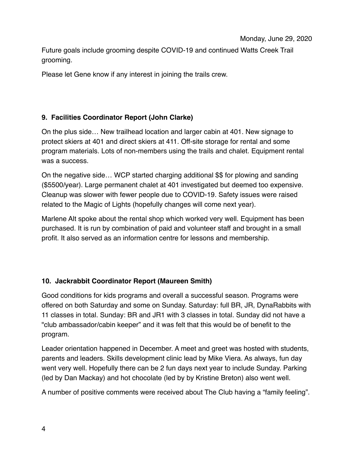Future goals include grooming despite COVID-19 and continued Watts Creek Trail grooming.

Please let Gene know if any interest in joining the trails crew.

# **9. Facilities Coordinator Report (John Clarke)**

On the plus side… New trailhead location and larger cabin at 401. New signage to protect skiers at 401 and direct skiers at 411. Off-site storage for rental and some program materials. Lots of non-members using the trails and chalet. Equipment rental was a success.

On the negative side… WCP started charging additional \$\$ for plowing and sanding (\$5500/year). Large permanent chalet at 401 investigated but deemed too expensive. Cleanup was slower with fewer people due to COVID-19. Safety issues were raised related to the Magic of Lights (hopefully changes will come next year).

Marlene Alt spoke about the rental shop which worked very well. Equipment has been purchased. It is run by combination of paid and volunteer staff and brought in a small profit. It also served as an information centre for lessons and membership.

# **10. Jackrabbit Coordinator Report (Maureen Smith)**

Good conditions for kids programs and overall a successful season. Programs were offered on both Saturday and some on Sunday. Saturday: full BR, JR, DynaRabbits with 11 classes in total. Sunday: BR and JR1 with 3 classes in total. Sunday did not have a "club ambassador/cabin keeper" and it was felt that this would be of benefit to the program.

Leader orientation happened in December. A meet and greet was hosted with students, parents and leaders. Skills development clinic lead by Mike Viera. As always, fun day went very well. Hopefully there can be 2 fun days next year to include Sunday. Parking (led by Dan Mackay) and hot chocolate (led by by Kristine Breton) also went well.

A number of positive comments were received about The Club having a "family feeling".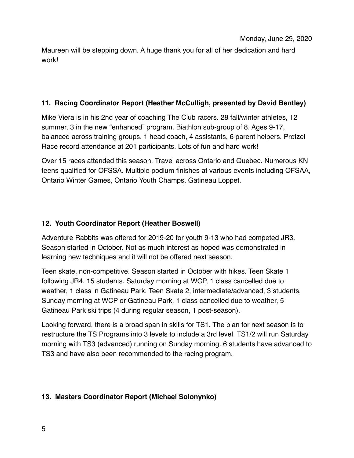Maureen will be stepping down. A huge thank you for all of her dedication and hard work!

## **11. Racing Coordinator Report (Heather McCulligh, presented by David Bentley)**

Mike Viera is in his 2nd year of coaching The Club racers. 28 fall/winter athletes, 12 summer, 3 in the new "enhanced" program. Biathlon sub-group of 8. Ages 9-17, balanced across training groups. 1 head coach, 4 assistants, 6 parent helpers. Pretzel Race record attendance at 201 participants. Lots of fun and hard work!

Over 15 races attended this season. Travel across Ontario and Quebec. Numerous KN teens qualified for OFSSA. Multiple podium finishes at various events including OFSAA, Ontario Winter Games, Ontario Youth Champs, Gatineau Loppet.

# **12. Youth Coordinator Report (Heather Boswell)**

Adventure Rabbits was offered for 2019-20 for youth 9-13 who had competed JR3. Season started in October. Not as much interest as hoped was demonstrated in learning new techniques and it will not be offered next season.

Teen skate, non-competitive. Season started in October with hikes. Teen Skate 1 following JR4. 15 students. Saturday morning at WCP, 1 class cancelled due to weather, 1 class in Gatineau Park. Teen Skate 2, intermediate/advanced, 3 students, Sunday morning at WCP or Gatineau Park, 1 class cancelled due to weather, 5 Gatineau Park ski trips (4 during regular season, 1 post-season).

Looking forward, there is a broad span in skills for TS1. The plan for next season is to restructure the TS Programs into 3 levels to include a 3rd level. TS1/2 will run Saturday morning with TS3 (advanced) running on Sunday morning. 6 students have advanced to TS3 and have also been recommended to the racing program.

## **13. Masters Coordinator Report (Michael Solonynko)**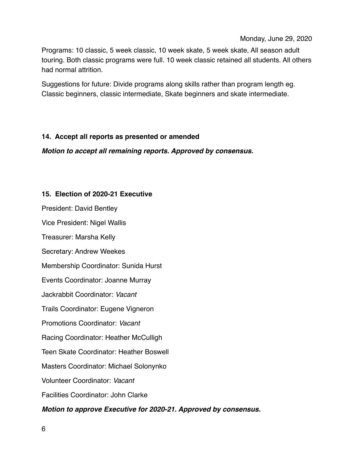Monday, June 29, 2020

Programs: 10 classic, 5 week classic, 10 week skate, 5 week skate, All season adult touring. Both classic programs were full. 10 week classic retained all students. All others had normal attrition.

Suggestions for future: Divide programs along skills rather than program length eg. Classic beginners, classic intermediate, Skate beginners and skate intermediate.

## **14. Accept all reports as presented or amended**

*Motion to accept all remaining reports. Approved by consensus.*

## **15. Election of 2020-21 Executive**

President: David Bentley

Vice President: Nigel Wallis

Treasurer: Marsha Kelly

Secretary: Andrew Weekes

Membership Coordinator: Sunida Hurst

Events Coordinator: Joanne Murray

Jackrabbit Coordinator: *Vacant*

Trails Coordinator: Eugene Vigneron

Promotions Coordinator: *Vacant*

Racing Coordinator: Heather McCulligh

Teen Skate Coordinator: Heather Boswell

Masters Coordinator: Michael Solonynko

Volunteer Coordinator: *Vacant*

Facilities Coordinator: John Clarke

*Motion to approve Executive for 2020-21. Approved by consensus.*